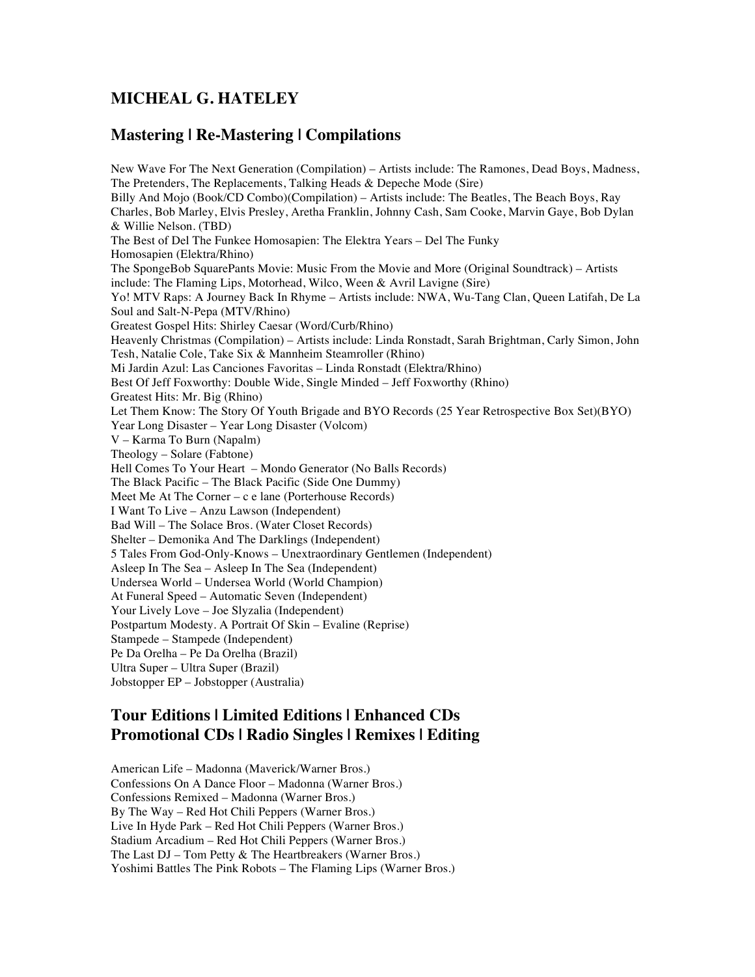## **MICHEAL G. HATELEY**

## **Mastering | Re-Mastering | Compilations**

New Wave For The Next Generation (Compilation) – Artists include: The Ramones, Dead Boys, Madness, The Pretenders, The Replacements, Talking Heads & Depeche Mode (Sire) Billy And Mojo (Book/CD Combo)(Compilation) – Artists include: The Beatles, The Beach Boys, Ray Charles, Bob Marley, Elvis Presley, Aretha Franklin, Johnny Cash, Sam Cooke, Marvin Gaye, Bob Dylan & Willie Nelson. (TBD) The Best of Del The Funkee Homosapien: The Elektra Years – Del The Funky Homosapien (Elektra/Rhino) The SpongeBob SquarePants Movie: Music From the Movie and More (Original Soundtrack) – Artists include: The Flaming Lips, Motorhead, Wilco, Ween & Avril Lavigne (Sire) Yo! MTV Raps: A Journey Back In Rhyme – Artists include: NWA, Wu-Tang Clan, Queen Latifah, De La Soul and Salt-N-Pepa (MTV/Rhino) Greatest Gospel Hits: Shirley Caesar (Word/Curb/Rhino) Heavenly Christmas (Compilation) – Artists include: Linda Ronstadt, Sarah Brightman, Carly Simon, John Tesh, Natalie Cole, Take Six & Mannheim Steamroller (Rhino) Mi Jardin Azul: Las Canciones Favoritas – Linda Ronstadt (Elektra/Rhino) Best Of Jeff Foxworthy: Double Wide, Single Minded – Jeff Foxworthy (Rhino) Greatest Hits: Mr. Big (Rhino) Let Them Know: The Story Of Youth Brigade and BYO Records (25 Year Retrospective Box Set)(BYO) Year Long Disaster – Year Long Disaster (Volcom) V – Karma To Burn (Napalm) Theology – Solare (Fabtone) Hell Comes To Your Heart – Mondo Generator (No Balls Records) The Black Pacific – The Black Pacific (Side One Dummy) Meet Me At The Corner – c e lane (Porterhouse Records) I Want To Live – Anzu Lawson (Independent) Bad Will – The Solace Bros. (Water Closet Records) Shelter – Demonika And The Darklings (Independent) 5 Tales From God-Only-Knows – Unextraordinary Gentlemen (Independent) Asleep In The Sea – Asleep In The Sea (Independent) Undersea World – Undersea World (World Champion) At Funeral Speed – Automatic Seven (Independent) Your Lively Love – Joe Slyzalia (Independent) Postpartum Modesty. A Portrait Of Skin – Evaline (Reprise) Stampede – Stampede (Independent) Pe Da Orelha – Pe Da Orelha (Brazil) Ultra Super – Ultra Super (Brazil) Jobstopper EP – Jobstopper (Australia)

## **Tour Editions | Limited Editions | Enhanced CDs Promotional CDs | Radio Singles | Remixes | Editing**

American Life – Madonna (Maverick/Warner Bros.) Confessions On A Dance Floor – Madonna (Warner Bros.) Confessions Remixed – Madonna (Warner Bros.) By The Way – Red Hot Chili Peppers (Warner Bros.) Live In Hyde Park – Red Hot Chili Peppers (Warner Bros.) Stadium Arcadium – Red Hot Chili Peppers (Warner Bros.) The Last DJ – Tom Petty & The Heartbreakers (Warner Bros.) Yoshimi Battles The Pink Robots – The Flaming Lips (Warner Bros.)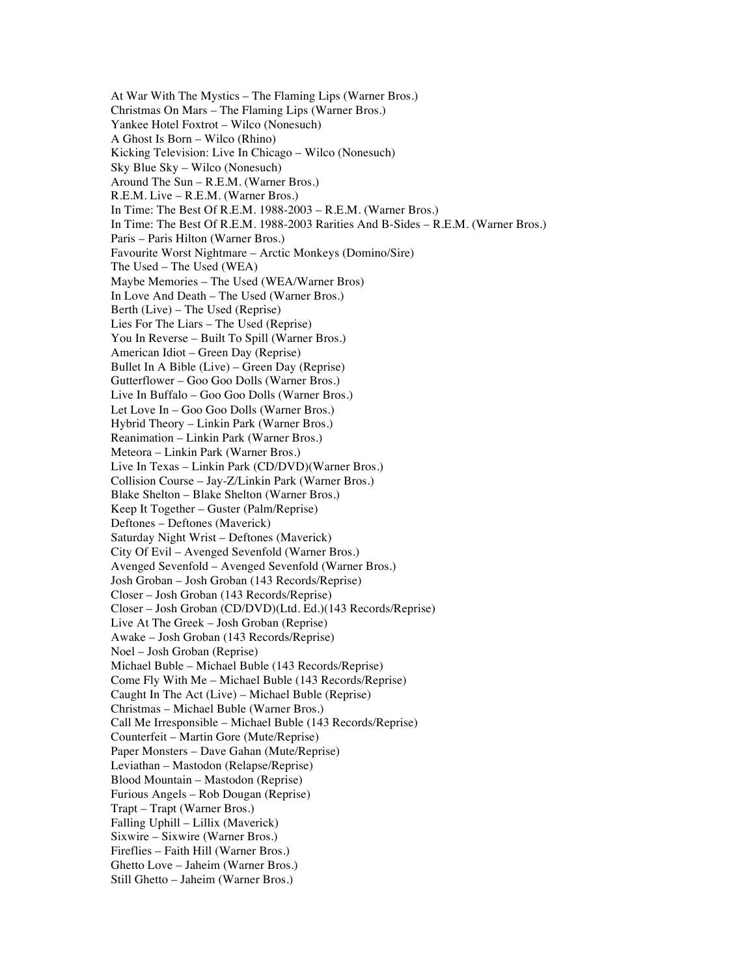At War With The Mystics – The Flaming Lips (Warner Bros.) Christmas On Mars – The Flaming Lips (Warner Bros.) Yankee Hotel Foxtrot – Wilco (Nonesuch) A Ghost Is Born – Wilco (Rhino) Kicking Television: Live In Chicago – Wilco (Nonesuch) Sky Blue Sky – Wilco (Nonesuch) Around The Sun – R.E.M. (Warner Bros.) R.E.M. Live – R.E.M. (Warner Bros.) In Time: The Best Of R.E.M. 1988-2003 – R.E.M. (Warner Bros.) In Time: The Best Of R.E.M. 1988-2003 Rarities And B-Sides – R.E.M. (Warner Bros.) Paris – Paris Hilton (Warner Bros.) Favourite Worst Nightmare – Arctic Monkeys (Domino/Sire) The Used – The Used (WEA) Maybe Memories – The Used (WEA/Warner Bros) In Love And Death – The Used (Warner Bros.) Berth (Live) – The Used (Reprise) Lies For The Liars – The Used (Reprise) You In Reverse – Built To Spill (Warner Bros.) American Idiot – Green Day (Reprise) Bullet In A Bible (Live) – Green Day (Reprise) Gutterflower – Goo Goo Dolls (Warner Bros.) Live In Buffalo – Goo Goo Dolls (Warner Bros.) Let Love In – Goo Goo Dolls (Warner Bros.) Hybrid Theory – Linkin Park (Warner Bros.) Reanimation – Linkin Park (Warner Bros.) Meteora – Linkin Park (Warner Bros.) Live In Texas – Linkin Park (CD/DVD)(Warner Bros.) Collision Course – Jay-Z/Linkin Park (Warner Bros.) Blake Shelton – Blake Shelton (Warner Bros.) Keep It Together – Guster (Palm/Reprise) Deftones – Deftones (Maverick) Saturday Night Wrist – Deftones (Maverick) City Of Evil – Avenged Sevenfold (Warner Bros.) Avenged Sevenfold – Avenged Sevenfold (Warner Bros.) Josh Groban – Josh Groban (143 Records/Reprise) Closer – Josh Groban (143 Records/Reprise) Closer – Josh Groban (CD/DVD)(Ltd. Ed.)(143 Records/Reprise) Live At The Greek – Josh Groban (Reprise) Awake – Josh Groban (143 Records/Reprise) Noel – Josh Groban (Reprise) Michael Buble – Michael Buble (143 Records/Reprise) Come Fly With Me – Michael Buble (143 Records/Reprise) Caught In The Act (Live) – Michael Buble (Reprise) Christmas – Michael Buble (Warner Bros.) Call Me Irresponsible – Michael Buble (143 Records/Reprise) Counterfeit – Martin Gore (Mute/Reprise) Paper Monsters – Dave Gahan (Mute/Reprise) Leviathan – Mastodon (Relapse/Reprise) Blood Mountain – Mastodon (Reprise) Furious Angels – Rob Dougan (Reprise) Trapt – Trapt (Warner Bros.) Falling Uphill – Lillix (Maverick) Sixwire – Sixwire (Warner Bros.) Fireflies – Faith Hill (Warner Bros.) Ghetto Love – Jaheim (Warner Bros.) Still Ghetto – Jaheim (Warner Bros.)